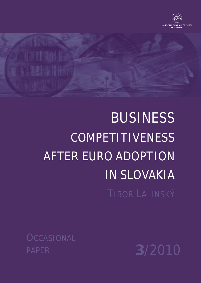

# BUSINESS **COMPETITIVENESS** AFTER EURO ADOPTION IN SLOVAKIA TIBOR LALINSKÝ

**OCCASIONAL** PAPER **3**/2010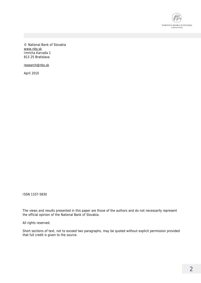

© National Bank of Slovakia [www.nbs.sk](http://www.nbs.sk) Imricha Karvaša 1 813 25 Bratislava

[research@nbs.sk](mailto:research@nbs.sk)

April 2010

ISSN 1337-5830

The views and results presented in this paper are those of the authors and do not necessarily represent the official opinion of the National Bank of Slovakia.

All rights reserved.

Short sections of text, not to exceed two paragraphs, may be quoted without explicit permission provided that full credit is given to the source.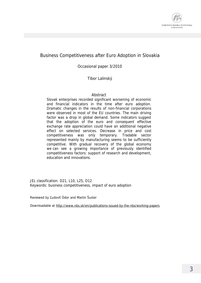

#### Business Competitiveness after Euro Adoption in Slovakia

Occasional paper 3/2010

Tibor Lalinský

#### Abstract

Slovak enterprises recorded significant worsening of economic and financial indicators in the time after euro adoption. Dramatic changes in the results of non-financial corporations were observed in most of the EU countries. The main driving factor was a drop in global demand. Some indicators suggest that the adoption of the euro and consequent effective exchange rate appreciation could have an additional negative effect on selected services. Decrease in price and cost competitiveness was only temporary. Tradable sector represented mainly by manufacturing seems to be sufficiently competitive. With gradual recovery of the global economy we can see a growing importance of previously identified competitiveness factors: support of research and development, education and innovations.

JEL classification: D21, L10, L25, O12 Keywords: business competitiveness, impact of euro adoption

Reviewed by Ľudovít Ódor and Martin Šuster

Downloadable at <http://www.nbs.sk/en/publications-issued-by-the-nbs/working-papers>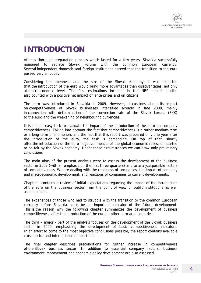

# **INTRODUCTION**

After a thorough preparation process which lasted for a few years, Slovakia successfully managed to replace Slovak koruna with the common European currency. Several independent domestic and foreign institutions agreed that the transition to the euro passed very smoothly.

Considering the openness and the size of the Slovak economy, it was expected that the introduction of the euro would bring more advantages than disadvantages, not only at macroeconomic level. The first estimations included in the NBS impact studies also counted with a positive net impact on enterprises and on citizens.

The euro was introduced in Slovakia in 2009. However, discussions about its impact on competitiveness of Slovak businesses intensified already in late 2008, mainly in connection with determination of the conversion rate of the Slovak koruna (SKK) to the euro and the weakening of neighbouring currencies.

It is not an easy task to evaluate the impact of the introduction of the euro on company competitiveness. Taking into account the fact that competitiveness is a rather medium-term or a long-term phenomenon, and the fact that this report was prepared only one year after the introduction of the euro, the task is demanding. On top of that, shortly after the introduction of the euro negative impacts of the global economic recession started to be felt by the Slovak economy. Under these circumstances we can draw only preliminary conclusions.

The main aims of the present analysis were to assess the development of the business sector in 2009 (with an emphasis on the first three quarters) and to analyze possible factors of competitiveness. We are dealing with the readiness of companies, the impact of company and macroeconomic development, and reactions of companies to current developments.

Chapter I contains a review of initial expectations regarding the impact of the introduction of the euro on the business sector from the point of view of public institutions as well as companies.

The experiences of those who had to struggle with the transition to the common European currency before Slovakia could be an important indicator of the future development. This is the reason why the following chapter summarizes the development of business competitiveness after the introduction of the euro in other euro area countries.

The third – major - part of the analysis focuses on the development of the Slovak business sector in 2009, emphasizing the development of basic competitiveness indicators. In an effort to come to the most objective conclusions possible, the report contains available cross-sector and international comparisons.

The final chapter describes preconditions for further increase in competitiveness of the Slovak business sector. In addition to essential company factors, business environment improvement and economic policy development are also assessed.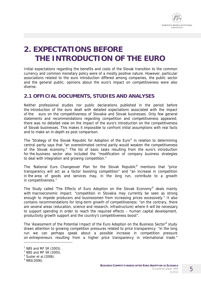

# **2. EXPECTATIONS BEFORE THE INTRODUCTION OF THE EURO**

Initial expectations regarding the benefits and costs of the Slovak transition to the common currency and common monetary policy were of a mostly positive nature. However, particular associations related to the euro introduction differed among companies, the public sector and the general public; opinions about the euro's impact on competitiveness were also diverse.

## **2.1 OFFICIAL DOCUMENTS, STUDIES AND ANALYSES**

Neither professional studies nor public declarations published in the period before the introduction of the euro dealt with detailed expectations associated with the impact of the euro on the competitiveness of Slovakia and Slovak businesses. Only few general statements and recommendations regarding competition and competitiveness appeared; there was no detailed view on the impact of the euro's introduction on the competitiveness of Slovak businesses. This makes it impossible to confront initial assumptions with real facts and to make an in-depth ex post comparison.

The 'Strategy of the Slovak Republic for Adoption of the Euro $1$  in relation to determining central parity says that "an overestimated central parity would weaken the competitiveness of the Slovak economy." The list of basic tasks resulting from the euro's introduction for the business sector also included the "modification of company business strategies to deal with integration and growing competition."

The 'National Euro Changeover Plan for the Slovak Republic<sup>2</sup> mentions that "price transparency will act as a factor boosting competition" and "an increase in competition in the area of goods and services may, in the long run, contribute to a growth in competitiveness."

The Study called 'The Effects of Euro Adoption on the Slovak Economy<sup>3</sup> deals mainly with macroeconomic impact: "competition in Slovakia may currently be seen as strong enough to impede producers and businessmen from increasing prices excessively." It also contains recommendations for long-term growth of competitiveness: "on the contrary, there are several areas (education, science and research, infrastructure) where it will be necessary to support spending in order to reach the required effects – human capital development, productivity growth support and the country's competitiveness boost".

The 'Assessment of the Potential Impact of the Euro Adoption on the Business Sector<sup>4</sup> study draws attention to growing competition pressures related to price transparency: "in the long run we can perhaps speak about a possible increase in competition pressure on entrepreneurs resulting from a higher price transparency in international trade."

 $\overline{a}$ 

 $1$  NBS and MF SR (2003).

 $2$  NBS and MF SR (2005).

 $3$  Šuster et al. (2006).

 $4$  NBS(2006).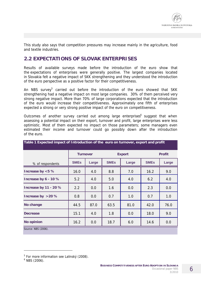

This study also says that competition pressures may increase mainly in the agriculture, food and textile industries.

#### **2.2 EXPECTATIONS OF SLOVAK ENTERPRISES**

Results of available surveys made before the introduction of the euro show that the expectations of enterprises were generally positive. The largest companies located in Slovakia felt a negative impact of SKK strengthening and they understood the introduction of the euro perspective as a positive factor for their competitiveness.

An NBS survey<sup>5</sup> carried out before the introduction of the euro showed that SKK strengthening had a negative impact on most large companies. 30% of them perceived very strong negative impact. More than 70% of large corporations expected that the introduction of the euro would increase their competitiveness. Approximately one fifth of enterprises expected a strong or very strong positive impact of the euro on competitiveness.

Outcomes of another survey carried out among large enterprises<sup>6</sup> suggest that when assessing a potential impact on their export, turnover and profit, large enterprises were less optimistic. Most of them expected no impact on those parameters; some managers even estimated their income and turnover could go possibly down after the introduction of the euro.

**Table 1 Expected impact of Introduction of the euro on turnover, export and profit** 

| rapid + Exposition impact of this ougotion or the loand on turnover, export and pront |                                  |       |             |       |               |       |  |  |  |
|---------------------------------------------------------------------------------------|----------------------------------|-------|-------------|-------|---------------|-------|--|--|--|
|                                                                                       | <b>Export</b><br><b>Turnover</b> |       |             |       | <b>Profit</b> |       |  |  |  |
| % of respondents                                                                      | <b>SMEs</b>                      | Large | <b>SMEs</b> | Large | <b>SMEs</b>   | Large |  |  |  |
| Increase by <5 %                                                                      | 16.0                             | 4.0   | 8.8         | 7.0   | 16.2          | 9.0   |  |  |  |
| Increase by 6 - 10 %                                                                  | 5.2                              | 4.0   | 5.0         | 4.0   | 6.2           | 4.0   |  |  |  |
| Increase by 11 - 20 %                                                                 | 2.2                              | 0.0   | 1.6         | 0.0   | 2.3           | 0.0   |  |  |  |
| Increase by >20 %                                                                     | 0.8                              | 0.0   | 0.7         | 1.0   | 0.7           | 1.0   |  |  |  |
| No change                                                                             | 44.5                             | 87.0  | 63.5        | 81.0  | 42.0          | 76.0  |  |  |  |
| <b>Decrease</b>                                                                       | 15.1                             | 4.0   | 1.8         | 0.0   | 18.0          | 9.0   |  |  |  |
| No opinion                                                                            | 16.2                             | 0.0   | 18.7        | 6.0   | 14.6          | 0.0   |  |  |  |
| $C_{OUICO}$ NDC $(2006)$                                                              |                                  |       |             |       |               |       |  |  |  |

*Source: NBS (2006).* 

 $\overline{a}$ 

6

<sup>&</sup>lt;sup>5</sup> For more information see Lalinský (2008).

<sup>6</sup> NBS (2006).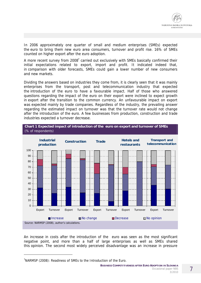

In 2006 approximately one quarter of small and medium enterprises (SMEs) expected the euro to bring them new euro area consumers, turnover and profit rise. 16% of SMEs counted on higher export after the euro adoption.

A more recent survey from 2008<sup>7</sup> carried out exclusively with SMEs basically confirmed their initial expectations related to export, import and profit. It indicated indeed that, in comparison with older forecasts, SMEs could gain a lower number of new consumers and new markets.

Dividing the answers based on industries they come from, it is clearly seen that it was mainly enterprises from the transport, post and telecommunication industry that expected the introduction of the euro to have a favourable impact. Half of those who answered questions regarding the impact of the euro on their export were inclined to expect growth in export after the transition to the common currency. An unfavourable impact on export was expected mainly by trade companies. Regardless of the industry, the prevailing answer regarding the estimated impact on turnover was that the turnover rate would not change after the introduction of the euro. A few businesses from production, construction and trade industries expected a turnover decrease.



An increase in costs after the introduction of the euro was seen as the most significant negative point, and more than a half of large enterprises as well as SMEs shared this opinion. The second most widely perceived disadvantage was an increase in pressure

j

**BUSINESS COMPETITIVENESS AFTER EURO ADOPTION IN SLOVAKIA**  Occasional paper NBS 3/2010

<sup>&</sup>lt;sup>7</sup>NARMSP (2008): Readiness of SMEs to the Introduction of the Euro.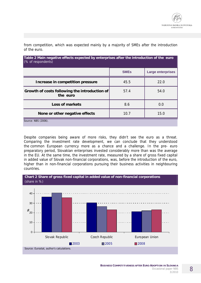| Table 2 Main negative effects expected by enterprises after the introduction of the euro<br>(% of respondents) |             |                          |  |  |  |  |  |
|----------------------------------------------------------------------------------------------------------------|-------------|--------------------------|--|--|--|--|--|
|                                                                                                                | <b>SMEs</b> | <b>Large enterprises</b> |  |  |  |  |  |
| Increase in competition pressure                                                                               | 45.5        | 22.0                     |  |  |  |  |  |
| Growth of costs following the introduction of<br>the euro                                                      | 57.4        | 54.0                     |  |  |  |  |  |
| Loss of markets                                                                                                | 8.6         | 0.0                      |  |  |  |  |  |
| 10.7<br>15.0<br>None or other negative effects                                                                 |             |                          |  |  |  |  |  |
| Source: NBS (2006).                                                                                            |             |                          |  |  |  |  |  |

from competition, which was expected mainly by a majority of SMEs after the introduction of the euro.

Despite companies being aware of more risks, they didn't see the euro as a threat. Comparing the investment rate development, we can conclude that they understood the common European currency more as a chance and a challenge. In the pre- euro preparatory period, Slovakian enterprises invested considerably more than was the average in the EU. At the same time, the investment rate, measured by a share of gross fixed capital in added value of Slovak non-financial corporations, was, before the introduction of the euro, higher than in non-financial corporations pursuing their business activities in neighbouring countries.

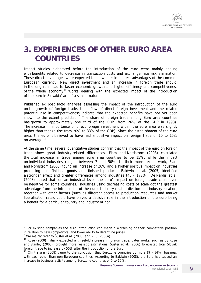

# **3. EXPERIENCES OF OTHER EURO AREA COUNTRIES**

Impact studies elaborated before the introduction of the euro were mainly dealing with benefits related to decrease in transaction costs and exchange rate risk elimination. These direct advantages were expected to show later in indirect advantages of the common European currency. New direct investment and an increase in foreign trade should, in the long run, lead to faster economic growth and higher efficiency and competitiveness of the whole economy.<sup>8</sup> Works dealing with the expected impact of the introduction of the euro in Slovakia<sup>9</sup> are of a similar nature.

Published *ex post facto* analyses assessing the impact of the introduction of the euro on the growth of foreign trade, the inflow of direct foreign investment and the related potential rise in competitiveness indicate that the expected benefits have not yet been shown to the extent predicted.<sup>10</sup> The share of foreign trade among Euro area countries has grown to approximately one third of the GDP (from 26% of the GDP in 1998). The increase in importance of direct foreign investment within the euro area was slightly higher than that (a rise from 20% to 33% of the GDP). Since the establishment of the euro area, the euro is believed to have had a positive impact on foreign trade of 10 to 15% on average.<sup>11</sup>

At the same time, several quantitative studies confirm that the impact of the euro on foreign trade show great industry-related differences. Flam and Nordstrom (2003) calculated the total increase in trade among euro area countries to be 15%, while the impact on individual industries ranged between 7 and 50%. In their more recent work, Flam and Nordstrom (2006) found an increase of 26% and a higher positive impact on industries producing semi-finished goods and finished products. Baldwin et al. (2005) identified a stronger effect and greater differences among industries (40 - 177%). De Nardis et al. (2008) stated that, on an industrial level, the euro's impact on foreign trade could even be negative for some countries. Industries using decreasing costs of scale got the greatest advantage from the introduction of the euro. Industry-related division and industry location, together with other factors (such as different access to production resources and market liberalization rate), could have played a decisive role in the introduction of the euro being a benefit for a particular country and industry or not.

 $\overline{a}$ 

<sup>&</sup>lt;sup>8</sup> For existing companies the euro introduction can mean a worsening of their competitive position in relation to new competitors, and lower ability to determine prices.

<sup>&</sup>lt;sup>9</sup> We mainly refer to Šuster et al. (2006) and NBS (2006a).

<sup>&</sup>lt;sup>10</sup> Rose (2000) initially expected a threefold increase in foreign trade. Later works, such as by Rose and Stanley (2005), brought more realistic estimations. Šuster et al. (2006) forecasted total Slovak foreign trade to increase by 50% after the introduction of the Euro.

<sup>&</sup>lt;sup>11</sup> Chintrakarn (2008) came to the conclusion that Eurozone countries do more (9 - 14%) business with each other than non-Eurozone countries. According to Baldwin (2008), the Euro has caused an increase in business activity among Eurozone countries of 5 to 15%.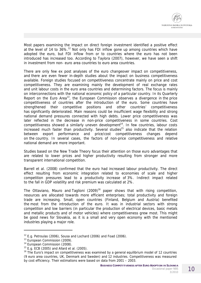

Most papers examining the impact on direct foreign investment identified a positive effect at the level of 14 to  $36\%$ .<sup>12</sup> Not only has FDI inflow gone up among countries which have adopted the euro, but FDI inflow from or to countries where the euro has not been introduced has increased too. According to Taylora (2007), however, we have seen a shift in investment from non- euro area countries to euro area countries.

There are only few *ex post* analyses of the euro changeover impact on competitiveness, and there are even fewer in-depth studies about the impact on business competitiveness available. Foreign studies focused on competitiveness concentrate mainly on price and cost competitiveness. They are examining mainly the development of real exchange rates and unit labour costs in the euro area countries and determining factors. The focus is mainly on interconnections with the national economic policy of a particular country. In its Quarterly Report on the Euro Area<sup>13</sup>, the European Commission observes a divergence in the price competitiveness of countries after the introduction of the euro. Some countries have strengthened their competitive positions and other countries' competitiveness has significantly deteriorated. Main reasons could be insufficient wage flexibility and strong national demand pressures connected with high debts. Lower price competitiveness was later reflected in the decrease in non-price competitiveness in some countries. Cost competitiveness showed a similarly uneven development<sup>14</sup>. In few countries, labour costs increased much faster than productivity. Several studies<sup>15</sup> also indicate that the relation between export performance and price/cost competitiveness changes depend on the country. In several cases, the factors of non-price competitiveness and relative national demand are more important.

Studies based on the New Trade Theory focus their attention on those euro advantages that are related to lower prices and higher productivity resulting from stronger and more transparent international competition.

Barrell et al. (2008) confirmed that the euro had increased labour productivity. The direct effect resulting from economic integration related to economies of scale and higher competition pressures lead to a productivity increase of 3%. Indirect impact related to the fall in GDP volatility and risk premium was calculated at 2%.

The Ottaviano, Mauro and Taglioni (2009)<sup>16</sup> paper shows that with rising competition, resources are allocated towards more efficient enterprises; total productivity and foreign trade are increasing. Small, open countries (Finland, Belgium and Austria) benefited the most from the introduction of the euro. It was in industrial sectors with strong competition and low barriers (in particular the production of electrical devices, basic metals and metallic products and of motor vehicles) where competitiveness grew most. This might be good news for Slovakia, as it is a small and very open economy with the mentioned industries playing a major role.

 $\overline{a}$ 

 $12$  E.g. Petroulas (2006), Sousa and Lochard (2006) and Foad (2006).

<sup>&</sup>lt;sup>13</sup> European Commission (2009).

<sup>&</sup>lt;sup>14</sup> European Commission (2008).

 $15$  E.g. ECB (2005) and Allard et al. (2005).

 $16$  The Euro's impact on competitiveness was examined by a general equilibrium model of 12 countries (9 euro area countries, UK, Denmark and Sweden) and 12 industries. Competitiveness was measured by cost efficiency. Their estimations were based on data from 2001 – 2003.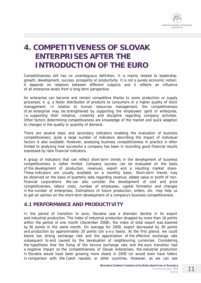

## **4. COMPETITIVENESS OF SLOVAK ENTERPRISES AFTER THE INTRODUCTION OF THE EURO**

Competitiveness still has no unambiguous definition. It is mainly related to leadership, growth, development, success, prosperity or productivity. It is not a purely economic notion; it depends on relations between different subjects and it reflects an influence of all enterprise levels from a long-term perspective.

An enterprise can become and remain competitive thanks to some production or supply processes, e. g. a faster distribution of products to consumers or a higher quality of stock management. In relation to human resources management, the competitiveness of an enterprise may be strengthened by supporting the employees' spirit of enterprise, i.e. supporting their initiative, creativity and discipline regarding company activities. Other factors determining competitiveness are knowledge of the market and quick adaption to changes in the quality or quantity of demand.

There are several basic and secondary indicators enabling the evaluation of business competitiveness; quite a large number of indicators describing the impact of individual factors is also available. However, assessing business competitiveness in practice is often limited to analysing how successful a company has been in recording good financial results expressed by ratio financial indicators.

A group of indicators that can reflect short-term trends in the development of business competitiveness is rather limited. Company success can be evaluated on the basis of the development of production, revenues, export and a resulting market share. These indicators are usually available on a monthly basis. Short-term trends may be observed on the basis of quarterly data regarding revenue, added value or profit of nonfinancial corporations. We can also consider the development of cost and price competitiveness, labour costs, number of employees, capital formation and changes in the number of enterprises. Estimations of future production, orders, etc. may help us to get an opinion on the short-term development of a company's business competitiveness.

#### **4.1 PERFORMANCE AND PRODUCTIVITY**

In the period of transition to euro, Slovakia saw a dramatic decline in its export and industrial production. The index of industrial production dropped by more than 16 points within the period of one month (December 2008); the index of total export was lowered by 36 points in the same month. On average for 2009, export decreased by 30 points and production by approximately 20 points (on y-o-y basis). At the first glance, we could blame too strong exchange rate and the appreciation of the effective exchange rate subsequent to and caused by the devaluation of neighbouring currencies. Considering the hypothesis that the fixing of the koruna exchange rate and the euro transition had a negative impact on the competitiveness of Slovak enterprises, the industrial production in Slovakia would have been growing more slowly in 2009 (or would even have fallen) in comparison with the Czech republic or other countries. However, as we can see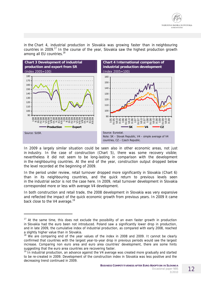

in the Chart 4, industrial production in Slovakia was growing faster than in neighbouring countries in 2009.<sup>17</sup> In the course of the year, Slovakia saw the highest production growth among all EU countries.<sup>18</sup>



In 2009 a largely similar situation could be seen also in other economic areas, not just in industry. In the case of construction (Chart 5), there was some recovery visible; nevertheless it did not seem to be long-lasting in comparison with the development in the neighbouring countries. At the end of the year, construction output dropped below the level recorded at the beginning of 2009.

In the period under review, retail turnover dropped more significantly in Slovakia (Chart 6) than in its neighbouring countries, and the quick return to previous levels seen in the industrial sector is not the case here. In 2009, retail turnover development in Slovakia corresponded more or less with average V4 development.

In both construction and retail trade, the 2008 development in Slovakia was very expansive and reflected the impact of the quick economic growth from previous years. In 2009 it came back close to the V4 average.<sup>19</sup>

j

 $17$  At the same time, this does not exclude the possibility of an even faster growth in production in Slovakia had the euro been *not* introduced. Poland saw a significantly lower drop in production, and in late 2009, the cumulative index of industrial production, as compared with early 2008, reached a slightly higher value than in Slovakia.

<sup>&</sup>lt;sup>18</sup> We are comparing end of the year values of the index in 2008 and 2009. It cannot be clearly confirmed that countries with the largest year-to-year drop in previous periods would see the largest increase. Comparing non euro area and euro area countries' development, there are some hints suggesting that the euro area countries are recovering faster.

<sup>&</sup>lt;sup>19</sup> In industrial production, an advance against the V4 average was created more gradually and started to be re-created in 2009. Development of the construction index in Slovakia was less positive and the decreasing trend continued in 2009.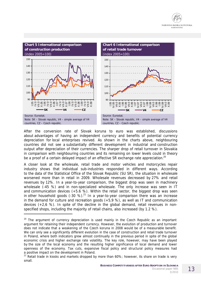

After the conversion rate of Slovak koruna to euro was established, discussions about advantages of having an independent currency and benefits of potential currency depreciation for local enterprises revived. As shown in the charts above, neighbouring countries did not see a substantially different development in industrial and construction output after depreciation of their currencies. The sharper drop of retail turnover in Slovakia in comparison with neighbouring countries and its remaining on lower levels could in theory be a proof of a certain delayed impact of an effective SR exchange rate appreciation.<sup>20</sup>

A closer look at the wholesale, retail trade and motor vehicles and motorcycles repair industry shows that individual sub-industries responded in different ways. According to the data of the Statistical Office of the Slovak Republic (SU SR), the situation in wholesale worsened more than in retail in 2009. Wholesale revenues decreased by 27% and retail revenues by 12%. In a year-to-year comparison, the biggest drop was seen in machinery wholesale (-45 %) and in non-specialized wholesale. The only increase was seen in IT and communication devices  $(+5.6 %)$ . Within the retail sector, the biggest drop was seen in other household goods  $(-30 \%)$ .<sup>21</sup> In a year-to-year comparison there was an increase in the demand for culture and recreation goods (+5,9 %), as well as IT and communication devices  $(+2,6, %)$ . In spite of the decline in the global demand, retail revenues in nonspecified shops, including the majority of retail chains, also increased (by 1.2 %).

j

 $20$  The argument of currency depreciation is used mainly in the Czech Republic as an important argument for retaining their independent currency. However, the evolution of production and turnover does not indicate that a weakening of the Czech koruna in 2008 would be of a measurable benefit. We can only see a significantly different evolution in the case of construction and retail trade turnover in Poland, where both indicators grew almost continually in the previous period in spite of the global economic crisis and higher exchange rate volatility. The key role, however, may have been played by the size of the local economy and the resulting higher significance of local demand and lower openness of the economy. Tax cuts, expansive fiscal policy and structural policy measures had a positive impact on the development in Poland.

 $21$  Retail trade in kiosks and markets dropped by more than 60%; however, its share on trade is very small.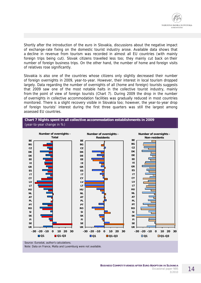

Shortly after the introduction of the euro in Slovakia, discussions about the negative impact of exchange-rate fixing on the domestic tourist industry arose. Available data shows that a decline in revenue from tourism was recorded in almost all EU countries (with mainly foreign trips being cut). Slovak citizens travelled less too; they mainly cut back on their number of foreign business trips. On the other hand, the number of home and foreign visits of relatives rose significantly.

Slovakia is also one of the countries whose citizens only slightly decreased their number of foreign overnights in 2009, year-to-year. However, their interest in local tourism dropped largely. Data regarding the number of overnights of all (home and foreign) tourists suggests that 2009 saw one of the most notable halts in the collective tourist industry, mainly from the point of view of foreign tourists (Chart 7). During 2009 the drop in the number of overnights in collective accommodation facilities was gradually reduced in most countries monitored. There is a slight recovery visible in Slovakia too; however, the year-to-year drop of foreign tourists' interest during the first three quarters was still the largest among assessed EU countries.



*Note: Data on France, Malta and Luxemburg were not available.*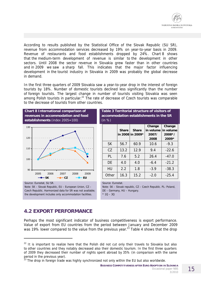

According to results published by the Statistical Office of the Slovak Republic (SU SR), revenue from accommodation services decreased by 19% on year-to-year basis in 2009. Revenue of restaurants and food establishments dropped by 24%. Chart 8 shows that the medium-term development of revenue is similar to the development in other sectors. Until 2008 the sector revenue in Slovakia grew faster than in other countries and in 2009 we saw a sharp fall. This indicates that the major factor influencing development in the tourist industry in Slovakia in 2009 was probably the global decrease in demand.

In the first three quarters of 2009 Slovakia saw a year-to-year drop in the interest of foreign tourists by 18%. Number of domestic tourists declined less significantly than the number of foreign tourists. The largest change in number of tourists visiting Slovakia was seen among Polish tourists in particular.<sup>22</sup> The rate of decrease of Czech tourists was comparable to the decrease of tourists from other countries.



*Czech Republic. Harmonized data for SR was not available; the development includes only accommodation facilities.* 

*DE – Germany, HU – Hungary. \* 1Q – 3Q* 

## **4.2 EXPORT PERFORMANCE**

j

Perhaps the most significant indicator of business competitiveness is export performance. Value of export from EU countries from the period between January and December 2009 was 19% lower compared to the value from the previous year.<sup>23</sup> Table 4 shows that the drop

 $22$  It is important to realize here that the Polish did not cut only their travels to Slovakia but also to other countries and they notably decreased also their domestic tourism. In the first three quarters of 2009 they decreased their number of nights spent abroad by 35% (in comparison with the same period in the previous year).

 $^{23}$  The drop in foreign trade was highly synchronized not only within the EU but also worldwide.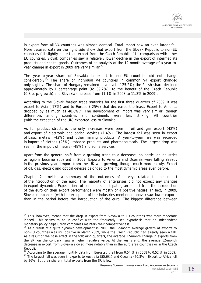

in export from all V4 countries was almost identical. Total import saw an even larger fall. More detailed data on the right side show that export from the Slovak Republic to non-EU countries fell slightly more than export from the Czech Republic.<sup>24</sup> In comparison with other EU countries, Slovak companies saw a relatively lower decline in the export of intermediate products and capital goods. Outcomes of an analysis of the 12-month average of a year-toyear change in export in 2009 are very similar.<sup>25</sup>

The year-to-year share of Slovakia in export to non-EU countries did not change considerably.<sup>26</sup> The share of individual V4 countries in common V4 export changed only slightly. The share of Hungary remained at a level of 25.2%; the Polish share declined approximately by 1 percentage point (to 39.2%), to the benefit of the Czech Republic (0.8 p. p. growth) and Slovakia (increase from 11.1% in 2008 to 11.3% in 2009).

According to the Slovak foreign trade statistics for the first three quarters of 2009, it was export to Asia (-17%) and to Europe (-25%) that decreased the least. Export to America dropped by as much as  $48.8\%$ <sup>27</sup> The development of import was very similar, though differences among countries and continents were less striking. All countries (with the exception of the UK) exported less to Slovakia.

As for product structure, the only increases were seen in oil and gas export (42%) and export of electronic and optical devices (1.4%). The largest fall was seen in export of basic metals (-42%) and other mining products. A year-to-year rise was recorded in import of clothes (26%), tobacco products and pharmaceuticals. The largest drop was seen in the import of metals (-48%) and some services.

Apart from the general shift from a growing trend to a decrease, no particular industries or regions became apparent in 2009. Exports to America and Oceania were falling already in the previous year. Import from the UK was growing, though much more slowly. Export of oil, gas, electric and optical devices belonged to the most dynamic areas even before.

Chapter 2 provides a summary of the outcomes of surveys related to the impact of the introduction of the euro. The majority of enterprises did not expect any changes in export dynamics. Expectations of companies anticipating an impact from the introduction of the euro on their export performance were mostly of a positive nature. In fact, in 2009, Slovak companies (with the exception of the industries mentioned above) saw lower exports than in the period before the introduction of the euro. The biggest difference between

 $\overline{a}$ 

 $24$  This, however, means that the drop in export from Slovakia to EU countries was more moderate indeed. This seems to be in conflict with the frequently used hypothesis that an independent monetary policy helps Czech companies maintain their competitiveness.

 $25$  As a result of a quite dynamic development in 2008, the 12-month average growth of exports to non-EU countries was still positive in March 2009, while the Czech Republic had already seen a fall. As a result of the base effect in the following quarters, the average 12-month change in exports from the SR, on the contrary, saw a higher negative value. At the year's end, the average 12-month decrease in export from Slovakia slowed more notably than in the euro area countries or in the Czech Republic.

 $^{26}$  According to the average monthly data from Eurostat it fell from 0.54 % in 2008 to 0.52 % in 2009. <sup>27</sup> The largest fall was seen in exports to Australia (55.6%) and Oceania (70.8%). Export to Africa fell by 26%. But their share in total exports from the SR is low.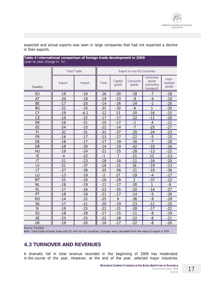expected and actual exports was seen in large companies that had not expected a decline in their exports.

#### **Table 4 International comparison of foreign trade development in 2009**  (year-to-year change in %)

| $\alpha$ is the same condition of $\alpha$ |                    |        |                                   |                  |                   |                                               |                            |  |  |  |
|--------------------------------------------|--------------------|--------|-----------------------------------|------------------|-------------------|-----------------------------------------------|----------------------------|--|--|--|
|                                            | <b>Total Trade</b> |        | <b>Export to non-EU Countries</b> |                  |                   |                                               |                            |  |  |  |
| Country                                    | Export             | Import | <b>Total</b>                      | Capital<br>goods | Consumer<br>goods | Consumer<br>goods<br>(excluding<br>transport) | Inter-<br>mediate<br>goods |  |  |  |
| EU                                         | $-19$              | $-24$  | $-16$                             | $-20$            | $-18$             | $-7$                                          | $-18$                      |  |  |  |
| AT                                         | $-20$              | $-18$  | $-19$                             | $-23$            | $-9$              | $-4$                                          | $-19$                      |  |  |  |
| <b>BE</b>                                  | $-17$              | $-20$  | $-14$                             | $-26$            | $-24$             | $-1$                                          | $-20$                      |  |  |  |
| <b>BG</b>                                  | $-22$              | $-33$  | $-31$                             | $-32$            | $-6$              | 1                                             | $-35$                      |  |  |  |
| <b>CY</b>                                  | $-19$              | $-6,1$ | $-12$                             | 13               | $-20$             | $-16$                                         | $-15$                      |  |  |  |
| CZ                                         | $-19$              | $-22$  | $-17$                             | $-17$            | $-22$             | $-11$                                         | $-20$                      |  |  |  |
| DK                                         | $-16$              | $-21$  | $-10$                             | $-17$            | $-1$              | $-4$                                          | $-11$                      |  |  |  |
| EE                                         | $-24$              | $-33$  | $-22$                             | $-14$            | $-7$              | $-25$                                         | $-27$                      |  |  |  |
| FI                                         | $-32$              | $-31$  | $-31$                             | $-37$            | $-20$             | $-24$                                         | $-23$                      |  |  |  |
| <b>FR</b>                                  | $-16$              | $-17$  | $-13$                             | $-17$            | $-22$             | $-5$                                          | $-15$                      |  |  |  |
| DE                                         | $-18$              | $-17$  | $-17$                             | $-19$            | $-16$             | $-7$                                          | $-18$                      |  |  |  |
| GR                                         | $-18$              | $-30$  | $-14$                             | $-19$            | $-42$             | $-10$                                         | $-16$                      |  |  |  |
| HU                                         | $-19$              | $-24$  | $-21$                             | $-25$            | $-28$             | $-13$                                         | $-22$                      |  |  |  |
| IE                                         | $-4$               | $-22$  | $-1$                              | $\overline{7}$   | $-21$             | 12                                            | $-13$                      |  |  |  |
| IT                                         | $-21$              | $-23$  | $-18$                             | $-18$            | $-11$             | $-16$                                         | $-20$                      |  |  |  |
| LV                                         | $-21$              | $-37$  | $-18$                             | $-31$            | 16                | $-19$                                         | $-13$                      |  |  |  |
| LT                                         | $-27$              | $-38$  | $-35$                             | $-56$            | $-21$             | $-19$                                         | $-36$                      |  |  |  |
| LU                                         | $-13$              | $-19$  | $-2$                              | 27               | $-19$             | $-4$                                          | $-17$                      |  |  |  |
| <b>MT</b>                                  | $-25$              | $-20$  | $-16$                             | $-29$            | $\overline{2}$    | $-37$                                         | $-12$                      |  |  |  |
| <b>NL</b>                                  | $-18$              | $-19$  | $-11$                             | $-17$            | $-30$             | 1                                             | $-9$                       |  |  |  |
| PL                                         | $-17$              | $-26$  | $-22$                             | $-25$            | $-20$             | $-14$                                         | $-27$                      |  |  |  |
| PT                                         | $-18$              | $-18$  | $-21$                             | $-17$            | $-14$             | $-5$                                          | $-30$                      |  |  |  |
| <b>RO</b>                                  | $-14$              | $-32$  | $-25$                             | $\mathbf 6$      | $-36$             | $-9$                                          | $-29$                      |  |  |  |
| <b>SK</b>                                  | $-17$              | $-21$  | $-20$                             | $-19$            | $-23$             | $-11$                                         | $-15$                      |  |  |  |
| SI                                         | $-19$              | $-25$  | $-22$                             | $-31$            | $-28$             | $-17$                                         | $-22$                      |  |  |  |
| ES                                         | $-18$              | $-28$  | $-17$                             | $-15$            | $-11$             | $-8$                                          | $-19$                      |  |  |  |
| <b>SE</b>                                  | $-25$              | $-25$  | $-22$                             | $-28$            | $-22$             | -6                                            | $-21$                      |  |  |  |
| UK                                         | $-19$              | $-20$  | $-16$                             | $-17$            | $-22$             | $-8$                                          | $-20$                      |  |  |  |

*Source: Eurostat.* 

*Note: Total trade includes trade with EU and non-EU countries. Changes were calculated from the value of export in EUR.* 

## **4.3 TURNOVER AND REVENUES**

A dramatic fall in total revenue recorded in the beginning of 2009 has moderated in the course of the year. However, at the end of the year, selected major industries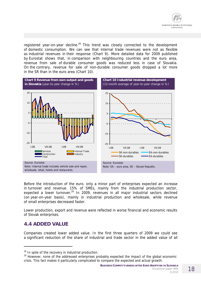

registered year-on-year decline.<sup>28</sup> This trend was closely connected to the development of domestic consumption. We can see that internal trade revenues were not as flexible as industrial revenues in their response (Chart 9). More detailed data for 2009 published by Eurostat shows that, in comparison with neighbouring countries and the euro area, revenue from sale of durable consumer goods was reduced less in case of Slovakia. On the contrary, revenue for sale of non-durable consumer goods dropped a lot more in the SR than in the euro area (Chart 10).



Before the introduction of the euro, only a minor part of enterprises expected an increase in turnover and revenue. 15% of SMEs, mainly from the industrial production sector, expected a lower turnover.<sup>29</sup> In 2009, revenues in all major industrial sectors declined (on year-on-year basis), mainly in industrial production and wholesale, while revenue of small enterprises decreased faster.

Lower production, export and revenue were reflected in worse financial and economic results of Slovak enterprises.

#### **4.4 ADDED VALUE**

 $\overline{a}$ 

Companies created lower added value. In the first three quarters of 2009 we could see a significant reduction of the share of industrial and trade sector in the added value of all

<sup>&</sup>lt;sup>28</sup> In spite of the recovery in industrial production.

<sup>&</sup>lt;sup>29</sup> However, none of the addressed enterprises probably expected the impact of the global economic crisis. This fact makes it particularly complicated to compare the expected and actual growth.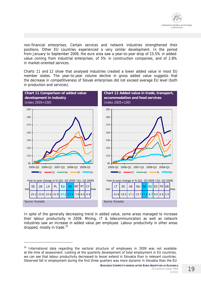

non-financial enterprises. Certain services and network industries strengthened their positions. Other EU countries experienced a very similar development. In the period from January to September 2009, the euro area saw a year-to-year drop of 15.5% in addedvalue coming from industrial enterprises, of 5% in construction companies, and of 2.8% in market-oriented services.

Charts 11 and 12 show that analysed industries created a lower added value in most EU member states. The year-to-year volume decline in gross added value suggests that the decrease in competitiveness of Slovak enterprises did not exceed average EU level (both in production and services).



In spite of the generally decreasing trend in added value, some areas managed to increase their labour productivity in 2009. Mining, IT & telecommunication as well as network industries saw an increase in added value per employee. Labour productivity in other areas dropped, mostly in trade.<sup>30</sup>

 $\overline{a}$ 

 $30$  International data regarding the sectoral structure of employees in 2009 was not available at the time of assessment. Looking at the quarterly development of total employment in EU countries, we can see that labour productivity decreased to lesser extend in Slovakia than in relevant countries. Observed fall in employment during the first three quarters was more dynamic in Slovakia than the EU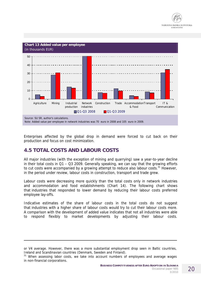



Enterprises affected by the global drop in demand were forced to cut back on their production and focus on cost minimization.

## **4.5 TOTAL COSTS AND LABOUR COSTS**

 $\overline{a}$ 

All major industries (with the exception of mining and quarrying) saw a year-to-year decline in their total costs in Q1 – Q3 2009. Generally speaking, we can say that the growing efforts to cut costs were accompanied by a growing attempt to reduce also labour costs.<sup>31</sup> However, in the period under review, labour costs in construction, transport and trade grew.

Labour costs were decreasing more quickly than the total costs only in network industries and accommodation and food establishments (Chart 14). The following chart shows that industries that responded to lower demand by reducing their labour costs preferred employee lay-offs.

Indicative estimates of the share of labour costs in the total costs do not suggest that industries with a higher share of labour costs would try to cut their labour costs more. A comparison with the development of added value indicates that not all industries were able to respond flexibly to market developments by adjusting their labour costs.

or V4 average. However, there was a more substantial employment drop seen in Baltic countries, Ireland and Scandinavian countries (Denmark, Sweden and Finland).

<sup>&</sup>lt;sup>31</sup> When assessing labor costs, we take into account numbers of employees and average wages in non-financial corporations.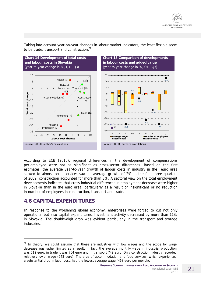



Taking into account year-on-year changes in labour market indicators, the least flexible seem to be trade, transport and construction.<sup>32</sup>

According to ECB (2010), regional differences in the development of compensations per employee were not as significant as cross-sector differences. Based on the first estimates, the average year-to-year growth of labour costs in industry in the euro area slowed to almost zero; services saw an average growth of 2% in the first three quarters of 2009; construction accounted for more than 3%. A sectoral view on the total employment developments indicates that cross-industrial differences in employment decrease were higher in Slovakia than in the euro area; particularly as a result of insignificant or no reduction in number of employees in construction, transport and trade.

#### **4.6 CAPITAL EXPENDITURES**

j

In response to the worsening global economy, enterprises were forced to cut not only operational but also capital expenditures. Investment activity decreased by more than 11% in Slovakia. The double-digit drop was evident particularly in the transport and storage industries.

 $32$  In theory, we could assume that these are industries with low wages and the scope for wage decrease was rather limited as a result. In fact, the average monthly wage in industrial production was 712 euro, in trade it was 704 euro and in transport 749 euro. Only construction industry recorded relatively lower wage (548 euro). The area of accommodation and food services, which experienced a substantial drop in labor cost, had the lowest average wage (468 euro per month).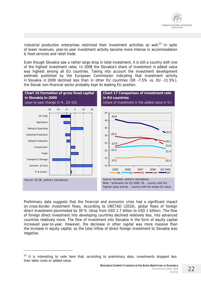

Industrial production enterprises restricted their investment activities as well. $33$  In spite of lower revenues, year-to-year investment activity became more intense in accommodation & food services and retail trade.

Even though Slovakia saw a rather large drop in total investment, it is still a country with one of the highest investment rates. In 2008 the Slovakia's share of investment in added value was highest among all EU countries. Taking into account the investment development estimate published by the European Commission indicating that investment activity in Slovakia in 2009 declined less than in other EU countries (SR -7.5% vs. EU -11.5%), the Slovak non-financial sector probably kept its leading EU position.



Preliminary data suggests that the financial and economic crisis had a significant impact on cross-border investment flows. According to UNCTAD (2010), global flows of foreign direct investment plummeted by 39 % (drop from USD 1.7 billion to USD 1 billion). The flow of foreign direct investment into developing countries declined relatively less, into advanced countries relatively more. The flow of investment into Slovakia in the form of equity capital increased year-to-year. However, the decrease in other capital was more massive than the increase in equity capital, so the total inflow of direct foreign investment to Slovakia was negative.

 $\overline{a}$ 

 $33$  It is interesting to note here that, according to preliminary data, investments dropped less than labor costs or added value.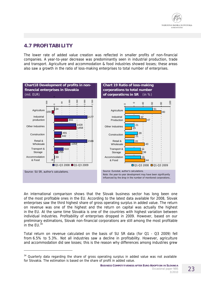

## **4.7 PROFITABILITY**

 $\overline{a}$ 

The lower rate of added value creation was reflected in smaller profits of non-financial companies. A year-to-year decrease was predominantly seen in industrial production, trade and transport. Agriculture and accommodation & food industries showed losses; these areas also saw a growth in the ratio of loss-making enterprises to total number of enterprises.



An international comparison shows that the Slovak business sector has long been one of the most profitable ones in the EU. According to the latest data available for 2008, Slovak enterprises saw the third highest share of gross operating surplus in added value. The return on revenue was one of the highest and the return on capital was actually the highest in the EU. At the same time Slovakia is one of the countries with highest variation between individual industries. Profitability of enterprises dropped in 2009. However, based on our preliminary estimations, Slovak non-financial corporations are still among the most profitable in the  $FU$ .<sup>3</sup>

Total return on revenue calculated on the basis of SU SR data (for Q1 - Q3 2009) fell from 6.5% to 5.3%. Not all industries saw a decline in profitability. However, agriculture and accommodation did see losses; this is the reason why differences among industries grew

 $34$  Quarterly data regarding the share of gross operating surplus in added value was not available for Slovakia. The estimation is based on the share of profit in added value.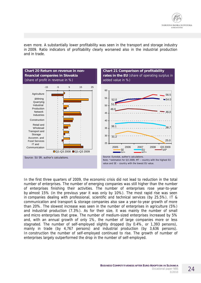even more. A substantially lower profitability was seen in the transport and storage industry in 2009. Ratio indicators of profitability clearly worsened also in the industrial production and in trade.



In the first three quarters of 2009, the economic crisis did not lead to reduction in the total number of enterprises. The number of emerging companies was still higher than the number of enterprises finishing their activities. The number of enterprises rose year-to-year by almost 15% (in the previous year it was only by 10%). The most rapid rise was seen in companies dealing with professional, scientific and technical services (by 25.5%). IT & communication and transport & storage companies also saw a year-to-year growth of more than 20%. The slowest increase was seen in the number of enterprises in agriculture (5%) and industrial production (7.3%). As for their size, it was mainly the number of small and micro enterprises that grew. The number of medium-sized enterprises increased by 5% and, with an annual growth of only 1%, the number of large companies more or less stagnated. The number of self-employed slightly dropped (by 0.4%, or 1,393 persons), mainly in trade (by 4,767 persons) and industrial production (by 3,636 persons). In construction the number of self-employed continued to rise. The growth of number of enterprises largely outperformed the drop in the number of self-employed.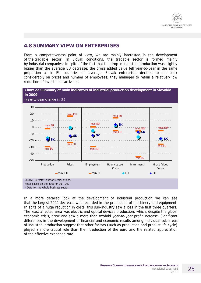#### **4.8 SUMMARY VIEW ON ENTERPRISES**

From a competitiveness point of view, we are mainly interested in the development of the tradable sector. In Slovak conditions, the tradable sector is formed mainly by industrial companies. In spite of the fact that the drop in industrial production was slightly bigger than the average EU decrease, the gross added value fell year-to-year in the same proportion as in EU countries on average. Slovak enterprises decided to cut back considerably on prices and number of employees; they managed to retain a relatively low reduction of investment activities.



In a more detailed look at the development of industrial production we can see that the largest 2009 decrease was recorded in the production of machinery and equipment. In spite of a huge reduction in costs, this sub-industry saw a loss in the first three quarters. The least affected area was electric and optical devices production, which, despite the global economic crisis, grew and saw a more than twofold year-to-year profit increase. Significant differences in the development of financial and economic results among individual sub-areas of industrial production suggest that other factors (such as production and product life cycle) played a more crucial role than the introduction of the euro and the related appreciation of the effective exchange rate.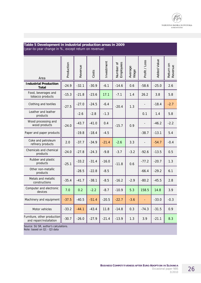

#### **Table 5 Development in industrial production areas in 2009**  (year-to-year change in %, except return on revenue)

| Area                                                   | Production | Revenue | Costs   | Investment | Number of<br>Employees | Average<br>Wage | Profit / Loss | <b>Added Value</b> | Return on<br>Revenue |
|--------------------------------------------------------|------------|---------|---------|------------|------------------------|-----------------|---------------|--------------------|----------------------|
| <b>Industrial Production</b><br>Total                  | $-24.9$    | $-32.1$ | $-30.9$ | $-6.1$     | $-14.6$                | 0.6             | $-58.6$       | $-25.0$            | 2.6                  |
| Food, beverages and<br>tobacco products                | $-15.3$    | $-21.8$ | $-23.6$ | 17.1       | $-7.1$                 | 1.4             | 26.2          | 3.8                | 5.8                  |
| Clothing and textiles                                  | $-27.5$    | $-27.0$ | $-24.5$ | $-6.4$     | $-20.4$                | 1.3             |               | $-18.4$            | $-2.7$               |
| Leather and leather<br>products                        |            | $-2.6$  | $-2.8$  | $-1.3$     |                        |                 | 0.1           | 1.4                | 5.8                  |
| Wood processing and<br>wood products                   | $-24.0$    | $-43.7$ | $-41.0$ | 0.4        | $-15.7$                | 0.9             |               | $-46.2$            | $-2.2$               |
| Paper and paper products                               |            | $-19.8$ | $-18.4$ | $-4.5$     |                        |                 | $-38.7$       | $-13.1$            | 5.4                  |
| Coke and petroleum<br>refinery products                | 2.0        | $-37.7$ | $-34.9$ | $-21.4$    | $-2.6$                 | 3.3             |               | $-54.7$            | $-0.4$               |
| Chemicals and chemical<br>products                     | $-24.0$    | $-27.8$ | $-24.3$ | $-9.8$     | $-3.7$                 | $-3.2$          | $-92.6$       | $-13.5$            | 0.5                  |
| Rubber and plastic<br>products                         | $-25.1$    | $-33.2$ | $-31.4$ | $-16.0$    | $-11.8$                | 0.6             | $-77.2$       | $-20.7$            | 1.3                  |
| Other non-metallic<br>products                         |            | $-28.5$ | $-22.8$ | $-8.5$     |                        |                 | $-66.4$       | $-29.2$            | 6.1                  |
| Metals and metallic<br>constructions                   | $-35.4$    | $-41.7$ | $-38.1$ | $-8.5$     | $-16.2$                | $-2.9$          | $-80.2$       | $-45.5$            | 2.8                  |
| Computer and electronic<br>devices                     | 7.0        | 0.2     | $-2.2$  | $-8.7$     | $-10.9$                | 5.3             | 158.5         | 14.8               | 3.9                  |
| Machinery and equipment                                | $-37.5$    | $-40.5$ | $-51.4$ | $-20.5$    | $-22.7$                | $-3.6$          |               | $-33.0$            | $-0.3$               |
| Motor vehicles                                         | $-33.2$    | $-44.1$ | $-43.4$ | 11.8       | $-14.8$                | 0.3             | $-74.3$       | $-31.5$            | 0.9                  |
| Furniture, other production<br>and repair/installation | $-30.7$    | $-26.0$ | $-27.9$ | $-21.4$    | $-13.9$                | 1.3             | 3.9           | $-21.1$            | 8.3                  |

*Source: SU SR, author's calculations. Note: based on Q1 - Q3 data*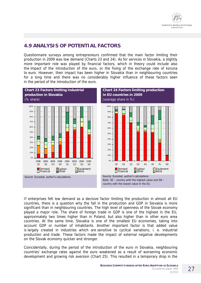

## **4.9 ANALYSIS OF POTENTIAL FACTORS**

Questionnaire surveys among entrepreneurs confirmed that the main factor limiting their production in 2009 was low demand (Charts 23 and 24). As for services in Slovakia, a slightly more important role was played by financial factors, which in theory could include also the impact of the introduction of the euro, or the fixing of the exchange rate of koruna to euro. However, their impact has been higher in Slovakia than in neighbouring countries for a long time and there was no considerably higher influence of these factors seen in the period of the introduction of the euro.



If enterprises felt low demand as a decisive factor limiting the production in almost all EU countries, there is a question why the fall in the production and GDP in Slovakia is more significant than in neighbouring countries. The high level of openness of the Slovak economy played a major role. The share of foreign trade in GDP is one of the highest in the EU, approximately two times higher than in Poland, but also higher than in other euro area countries. At the same time, Slovakia is one of the smallest EU economies, taking into account GDP or number of inhabitants. Another important factor is that added value is largely created in industries which are sensitive to cyclical variations, i. e. industrial production and trade. These factors made the impact of external negative developments on the Slovak economy quicker and stronger.

Coincidentally, during the period of the introduction of the euro in Slovakia, neighbouring countries' exchange rates against the euro weakened as a result of worsening economic development and growing risk aversion (Chart 25). This resulted in a temporary drop in the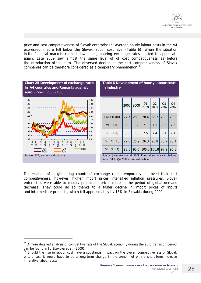

price and cost competitiveness of Slovak enterprises.<sup>35</sup> Average hourly labour costs in the V4 expressed in euro fell below the Slovak labour cost level (Table 6). When the situation in the financial markets calmed down, neighbouring exchange rates started to appreciate again. Late 2009 saw almost the same level of of cost competitiveness as before the introduction of the euro. The observed decline in the cost competitiveness of Slovak companies can be therefore considered as a temporary phenomenon.<sup>36</sup>



Depreciation of neighbouring countries' exchange rates temporarily improved their cost competitiveness; however, higher import prices intensified inflation pressures. Slovak enterprises were able to modify production prices more in the period of global demand decrease. They could do so thanks to a faster decline in import prices of inputs and intermediate products, which fell approximately by 15% in Slovakia during 2009.

j

<sup>&</sup>lt;sup>35</sup> A more detailed analysis of competitiveness of the Slovak economy during the euro transition period can be found in Jurášeková et al. (2009).

<sup>&</sup>lt;sup>36</sup> Should the rise in labour cost have a substantial impact on the overall competitiveness of Slovak enterprises, it would have to be a long-term change in the trend, not only a short-term increase in relative labour costs.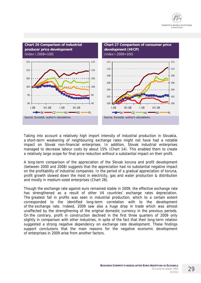



Taking into account a relatively high import intensity of industrial production in Slovakia, a short-term weakening of neighbouring exchange rates might not have had a notable impact on Slovak non-financial enterprises. In addition, Slovak industrial enterprises managed to decrease labour costs by about 15% (Chart 14). This enabled them to create a relatively large scope for final price reduction without a substantial impact on their profit.

A long-term comparison of the appreciation of the Slovak koruna and profit development (between 2000 and 2008) suggests that the appreciation had no substantial negative impact on the profitability of industrial companies. In the period of a gradual appreciation of koruna, profit growth slowed down the most in electricity, gas and water production & distribution and mostly in medium-sized enterprises (Chart 28).

Though the exchange rate against euro remained stable in 2009, the effective exchange rate has strengthened as a result of other V4 countries' exchange rates depreciation. The greatest fall in profits was seen in industrial production, which to a certain extent corresponded to the identified long-term correlation with to the development of the exchange rate. Indeed, 2009 saw also a huge drop in trade which was almost unaffected by the strengthening of the original domestic currency in the previous periods. On the contrary, profit in construction declined in the first three quarters of 2009 only slightly in comparison with other industries, in spite of the fact that their long-term relation suggested a strong negative dependency on exchange rate development. These findings support conclusions that the main reasons for the negative economic development of enterprises in 2009 arise from another factors.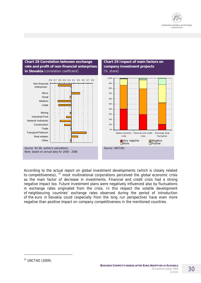



According to the actual report on global investment developments (which is closely related to competitiveness), <sup>37</sup> most multinational corporations perceived the global economic crisis as the main factor of decrease in investments. Financial and credit crisis had a strong negative impact too. Future investment plans were negatively influenced also by fluctuations in exchange rates originated from the crisis. In this respect the volatile development of neighbouring countries' exchange rates observed during the period of introduction of the euro in Slovakia could (especially from the long run perspective) have even more negative than positive impact on company competitiveness in the mentioned countries.

j

<sup>37</sup> UNCTAD (2009).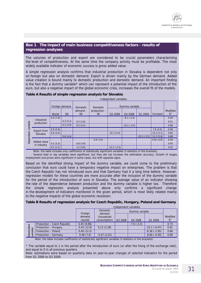#### **Box 1 The impact of main business competitiveness factors - results of regression analyses**

The volumes of production and export are considered to be crucial parameters characterizing the level of competitiveness. At the same time the company activity must be profitable. The most widely available indicator of economic success is gross added value.

A simple regression analysis confirms that industrial production in Slovakia is dependent not only on foreign but also on domestic demand. Export is driven mainly by the German demand. Added value creation is bound mainly to domestic production and domestic demand. An important finding is the fact that a dummy variable\* which can represent a potential impact of the introduction of the euro, but also a negative impact of the global economic crisis, increases the overall fit of the models.

|                                             |                            | Independent variables |                |                             |                                 |               |                |               |           |          |
|---------------------------------------------|----------------------------|-----------------------|----------------|-----------------------------|---------------------------------|---------------|----------------|---------------|-----------|----------|
|                                             |                            |                       | Foreign demand | <b>Domestic</b><br>demand - | <b>Domestic</b><br>production - |               | Dummy variable |               |           | Modified |
|                                             |                            | World                 | <b>DE</b>      | <b>SK</b>                   | <b>SK</b>                       | Q3 2008       | Q4 2008        | Q1 2009       | Constant  | $R^2$    |
| <b>Industrial</b><br>variable<br>production |                            | 0.4(7.9)              |                |                             |                                 |               | $-8.1(-2.4)$   |               |           | 0.59     |
|                                             |                            |                       | 0.3(5.2)       | 0.3(2.6)                    |                                 |               |                |               |           | 0.51     |
|                                             |                            |                       | 0.2(3.9)       | 0.5(4.5)                    |                                 |               | $-14.1(-4.4)$  |               |           | 0.68     |
|                                             | <b>Export from</b>         | 0.9(5.9)              |                |                             |                                 |               |                |               | 7.6(3.5)  | 0.48     |
|                                             | Slovakia                   | 0.6(4.4)              |                |                             |                                 | $-22.3(5.4)$  |                |               | 12.3(2.1) | 0.64     |
|                                             |                            |                       | 0.8(4.4)       |                             |                                 |               |                | $-25.3(-3.5)$ | 11.3(5.6) | 0.68     |
| Dependent                                   |                            |                       |                |                             | 0.9(7.6)                        |               |                |               | 6.91(4.8) | 0.59     |
|                                             | Added value<br>in industry | 0.3(3.3)              |                | 0.8(3.9)                    |                                 |               |                |               |           | 0.45     |
|                                             |                            | 0.2(2.2)              |                | 1.2(4.8)                    |                                 | $-12.2(-2.5)$ |                |               |           | 0.52     |

#### **Table A Results of simple regression analysis for Slovakia**

Note: the table includes only coefficients of statistically significant variables (t-statistics in the brackets).

 Several lead or lag variables were significant, but they did not increase the estimation accuracy. Growth of wages, employment and prices were significant in some cases, but with opposite signs.

Based on the identified strong impact of the dummy variable, we could come to the preliminary conclusion that euro could have a temporary negative impact on enterprises. The problem is that the Czech Republic has not introduced euro and that Germany had it a long time before. However, regression models for these countries are more accurate after the inclusion of the dummy variable for the period of the introduction of euro in Slovakia. The average value of an indicator showing the rate of the dependence between production and the dummy variable is higher too. Therefore the simple regression analysis presented above only confirms a significant change in the development of indicators monitored in the given period, which is most likely related mainly to the negative impacts of the global economic recession.

#### **Table B Results of regression analysis for Czech Republic, Hungary, Poland and Germany**

|                       |                             | Independent variables        |                                      |         |              |                   |                   |  |  |
|-----------------------|-----------------------------|------------------------------|--------------------------------------|---------|--------------|-------------------|-------------------|--|--|
|                       |                             |                              | <b>Domestic</b>                      |         |              |                   |                   |  |  |
|                       |                             | Foreign<br>demand<br>(world) | demand<br>(household<br>consumption) | Q3 2008 | Q4 2008      | Q1 2009           | Modified<br>$R^2$ |  |  |
|                       | Production - Czech Republic | 0.45(9.86)                   |                                      |         | $-7.6(-3.3)$ |                   | 0.73              |  |  |
|                       | Production - Hungary        | 0.43(12.8)                   | 0.12(2.28)                           |         |              | $-15.1$ $(-9.47)$ | 0.91              |  |  |
|                       | Production - Poland         | 0.40(12.2)                   |                                      |         |              | $-6.58(-2.95)$    | 0.66              |  |  |
| Dependent<br>variable | Production - Germany        | 0.48(7.6)                    | $-0.47(2.01)$                        |         |              | $-8.60(-4.50)$    | 0.90              |  |  |

Note: the table includes coefficients of statistically significant variables (t-statistics in the brackets).

\* The variable equal to 1 in the period after the introduction of euro (or after the fixing of the exchange rate), and equal to 0 in all previous quarters.

Note: estimations were based on quarterly data on year-to-year changes of selected indicators for the period from Q1 2000 to Q3 2009.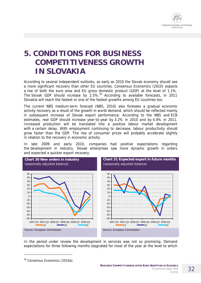

## **5. CONDITIONS FOR BUSINESS COMPETITIVENESS GROWTH IN SLOVAKIA**

According to several independent outlooks, as early as 2010 the Slovak economy should see a more significant recovery than other EU countries. Consensus Economics (2010) expects a rise of both the euro area and EU gross domestic product (GDP) at the level of 1.1%. The Slovak GDP should increase by 2.5%.<sup>38</sup> According to available forecasts, in 2011 Slovakia will reach the fastest or one of the fastest growths among EU countries too.

The current NBS medium-term forecast (NBS, 2010) also foresees a gradual economic activity recovery as a result of the growth in world demand, which should be reflected mainly in subsequent increase of Slovak export performance. According to the NBS and ECB estimates, real GDP should increase year-to-year by 3.2% in 2010 and by 4.4% in 2011. Increased production will be translated into a positive labour market development with a certain delay. With employment continuing to decrease, labour productivity should grow faster than the GDP. The rise of consumer prices will probably accelerate slightly in relation to the recovery in economic activity.

In late 2009 and early 2010, companies had positive expectations regarding the development in industry. Slovak enterprises saw more dynamic growth in orders and expected a quicker export recovery.



In the period under review the development in services was not so promising. Demand expectations for three following months stagnated for most of the year at the level to which

j

<sup>38</sup> Consensus Economics (2010a).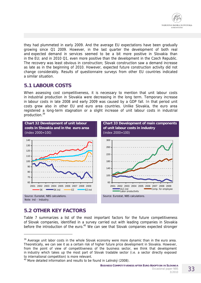

they had plummeted in early 2009. And the average EU expectations have been gradually growing since Q1 2009. However, in the last quarter the development of both real and expected demand in services seemed to be a bit more positive in Slovakia than in the EU; and in 2010 Q1, even more positive than the development in the Czech Republic. The recovery was least obvious in construction; Slovak construction saw a demand increase as late as in the beginning of 2010. However, expected future construction activity did not change considerably. Results of questionnaire surveys from other EU countries indicated a similar situation.

#### **5.1 LABOUR COSTS**

When assessing cost competitiveness, it is necessary to mention that unit labour costs in industrial production in Slovakia were decreasing in the long term. Temporary increase in labour costs in late 2008 and early 2009 was caused by a GDP fall. In that period unit costs grew also in other EU and euro area countries. Unlike Slovakia, the euro area registered a long-term stagnation or a slight increase of unit labour costs in industrial production.<sup>39</sup>



## **5.2 OTHER KEY FACTORS**

j

Table 7 summarizes a list of the most important factors for the future competitiveness of Slovak companies, identified in a survey carried out with leading companies in Slovakia before the introduction of the euro.<sup>40</sup> We can see that Slovak companies expected stronger

<sup>&</sup>lt;sup>39</sup> Average unit labor costs in the whole Slovak economy were more dynamic than in the euro area. Theoretically, we can see it as a certain risk of higher future price development in Slovakia. However, from the point of view of competitiveness of the business sector, we think that development in industry which takes up the most part of Slovak tradable sector (i.e. a sector directly exposed to international competition) is more relevant.

 $40$  More detailed information and results to be found in Lalinský (2008).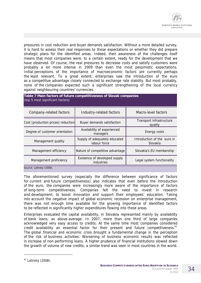pressures in cost reduction and buyer demands satisfaction. Without a more detailed survey, it is hard to assess their real responses to those expectations or whether they did prepare strategic plans for the identified areas. Indeed, their awareness of the challenges itself means that most companies were, to a certain extent, ready for the development that we have observed. Of course, the real pressures to decrease costs and satisfy customers were probably a lot more intense in 2009 than even the most pessimistic expectations. Initial perceptions of the importance of macroeconomic factors are currently perhaps the least relevant. To a great extent, enterprises saw the introduction of the euro as a competitive advantage closely connected to exchange rate stability. But most probably, none of the companies expected such a significant strengthening of the local currency against neighbouring countries' currencies.

| Table 7 Main factors of future competitiveness of Slovak companies<br>(top 5 most significant factors) |                                               |                                         |  |  |  |  |  |  |
|--------------------------------------------------------------------------------------------------------|-----------------------------------------------|-----------------------------------------|--|--|--|--|--|--|
| Company-related factors                                                                                | Industry-related factors                      | Macro-level factors                     |  |  |  |  |  |  |
| Cost (production prices) reduction                                                                     | Buyer demands satisfaction                    | Transport infrastructure<br>quality     |  |  |  |  |  |  |
| Degree of customer orientation                                                                         | Availability of experienced<br>managers       | Energy costs                            |  |  |  |  |  |  |
| Management quality                                                                                     | Supply of adequately educated<br>labour force | Introduction of the euro in<br>Slovakia |  |  |  |  |  |  |
| Management efficiency                                                                                  | Nature of competitive advantage               | Slovakia's EU membership                |  |  |  |  |  |  |
| Management proficiency                                                                                 | Existence of developed supply<br>industries   | Legal system functionality              |  |  |  |  |  |  |
|                                                                                                        |                                               |                                         |  |  |  |  |  |  |

*Source: Lalinský (2008).* 

The aforementioned survey (especially the difference between significance of factors for current and future competitiveness) also indicates that even before the introduction of the euro, the companies were increasingly more aware of the importance of factors of long-term competitiveness. Companies felt the need to invest in research and development, to boost innovation and support their employees' education. Taking into account the negative impact of global economic recession on enterprise management, there was not enough time available for the growing importance of identified factors to be reflected in significantly higher expenditures flowing into these areas.

Enterprises evaluated the capital availability, in Slovakia represented mainly by availability of bank loans, as above-average. In 2007, more than one third of large companies acknowledged very easy access to credits. At the same time most companies considered credit availability an essential factor for their present and future competitiveness.<sup>41</sup> The global financial and economic crisis brought a fundamental change in the perception of the risk of business activities. Worsening of business economic results was reflected in increase of non-performing loans. A higher prudence of financial institutions slowed down the growth of volume of new credits; a similar trend was seen in most countries in the world.

j

<sup>41</sup> Lalinský (2008).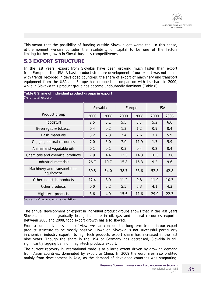

This meant that the possibility of funding outside Slovakia got worse too. In this sense, at the moment we can consider the availability of capital to be one of the factors limiting further growth in Slovak business competitiveness.

#### **5.3 EXPORT STRUCTURE**

In the last years, export from Slovakia have been growing much faster than export from Europe or the USA. A basic product structure development of our export was not in line with trends recorded in developed countries: the share of export of machinery and transport equipment from the USA and Europe has dropped in comparison with its share in 2000, while in Slovakia this product group has become undoubtedly dominant (Table 8).

| Table 8 Share of individual product groups in export<br>(% of total export) |          |      |        |      |            |      |  |  |
|-----------------------------------------------------------------------------|----------|------|--------|------|------------|------|--|--|
|                                                                             | Slovakia |      | Europe |      | <b>USA</b> |      |  |  |
| Product group                                                               | 2000     | 2008 | 2000   | 2008 | 2000       | 2008 |  |  |
| Foodstuff                                                                   | 2.5      | 3.1  | 5.5    | 5.7  | 5.2        | 6.6  |  |  |
| Beverages & tobacco                                                         | 0.4      | 0.2  | 1.3    | 1.2  | 0.9        | 0.4  |  |  |
| <b>Basic materials</b>                                                      | 3.2      | 2.3  | 2.4    | 2.6  | 3.7        | 5.9  |  |  |
| Oil, gas, natural resources                                                 | 7.0      | 5.0  | 7.0    | 11.9 | 1.7        | 5.9  |  |  |
| Animal and vegetable oils                                                   | 0.1      | 0.1  | 0.3    | 0.4  | 0.2        | 0.4  |  |  |
| Chemicals and chemical products                                             | 7.9      | 4.4  | 12.3   | 14.3 | 10.3       | 13.8 |  |  |
| Industrial materials                                                        | 26.7     | 19.7 | 15.8   | 15.3 | 9.2        | 9.6  |  |  |
| Machinery and transportation<br>equipment                                   | 39.5     | 54.0 | 38.7   | 33.6 | 52.8       | 42.8 |  |  |
| Other industrial products                                                   | 12.4     | 8.9  | 11.2   | 9.8  | 11.9       | 10.3 |  |  |
| Other products                                                              | 0.0      | 2.2  | 5.5    | 5.3  | 4.1        | 4.3  |  |  |
| High-tech products                                                          | 3.6      | 4.9  | 15.6   | 11.6 | 29.9       | 22.3 |  |  |
| Source: UN Comtrade, author's calculations.                                 |          |      |        |      |            |      |  |  |

The annual development of export in individual product groups shows that in the last years Slovakia has been gradually losing its share in oil, gas and natural resources exports.

Between 2005 and 2008, food export growth has also slowed.

From a competitiveness point of view, we can consider the long-term trends in our export product structure to be mostly positive. However, Slovakia is not successful particularly in chemical industry export. Its high-tech products export share has increased in the last nine years. Though the share in the USA or Germany has decreased, Slovakia is still significantly lagging behind in high-tech products export.

The current recovery in international trade is to a large extent driven by growing demand from Asian countries, dominated by export to China. In 2009 the euro area also profited mainly from development in Asia, as the demand of developed countries was stagnating.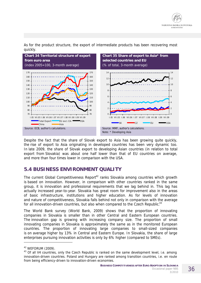

**Chart 34 Territorial structure of export from euro area**  (index 2005=100, 3-month average) **Chart 35 Share of export to Asia\* from selected countries and EU**  (% of total, 3-month average) 70 80 90 100 110 120 130 140 150 160 170 I.05 VII.05 I.06 VII.06 I.07 VII.07 I.08 VII.08 I.09 VII.09 70 80 90 100 110 120 130 140 150 160 170 Total Export **EU** excl. EA  $\bullet$ China  $\bullet$ Asia 0  $\overline{2}$ 4 6 8 10 12 14 I.05 VII.05 I.06 VII.06 I.07 VII.07 I.08 VII.08 I.09 VII.09 0  $\overline{2}$ 4 6 8 10 12 14 SK CZ EU ODSA *Source: ECB, author's calculations. Source: MMF, author's calculations. Note: \* Developing Asia* 

As for the product structure, the export of intermediate products has been recovering most quickly.

Despite the fact that the share of Slovak export to Asia has been growing quite quickly, the rise of export to Asia originating in developed countries has been very dynamic too. In late 2009, the share of Slovak export to developing Asian countries (in relation to total export from Slovakia) was about one half lower than that of EU countries on average, and more than four times lower in comparison with the USA.

#### **5.4 BUSINESS ENVIRONMENT QUALITY**

The current Global Competitiveness Report<sup>42</sup> ranks Slovakia among countries which growth is based on innovation. However, in comparison with other countries ranked in the same group, it is innovation and professional requirements that we lag behind in. This lag has actually increased year-to-year. Slovakia has great room for improvement also in the areas of basic infrastructure, institutions and higher education. As for levels of innovation and nature of competitiveness, Slovakia falls behind not only in comparison with the average for all innovation-driven countries, but also when compared to the Czech Republic.<sup>43</sup>

The World Bank survey (World Bank, 2009) shows that the proportion of innovating companies in Slovakia is smaller than in other Central and Eastern European countries. The innovation gap is growing with increasing company size. The proportion of small innovating companies in Slovakia is approximately the same as in the monitored European countries. The proportion of innovating large companies to small-sized companies is on average higher by 13% in Central and Eastern Europe. In Slovakia, the share of large enterprises pursuing innovation activities is only by 6% higher (compared to SMEs).

 $\overline{a}$ 

 $42$  WEFORUM (2009).

<sup>&</sup>lt;sup>43</sup> Of all V4 countries, only the Czech Republic is ranked on the same development level, i.e. among innovation-driven countries. Poland and Hungary are ranked among transition countries, i.e. *en route* from being efficiency-driven to innovation-driven economies.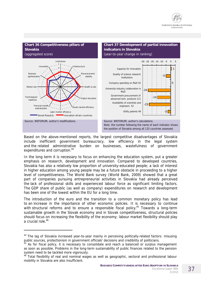

Based on the above-mentioned reports, the largest competitive disadvantages of Slovakia include inefficient government bureaucracy, low efficiency in the legal system and the related administrative burden on businesses, wastefulness of government expenditures and corruption.<sup>44</sup>

In the long term it is necessary to focus on enhancing the education system, put a greater emphasis on research, development and innovation. Compared to developed countries, Slovakia has also a relatively low proportion of university-educated people; a lack of interest in higher education among young people may be a future obstacle in proceeding to a higher level of competitiveness. The World Bank survey (World Bank, 2009) showed that a great part of companies pursuing entrepreneurial activities in Slovakia had already perceived the lack of professional skills and experienced labour force as significant limiting factors. The GDP share of public (as well as company) expenditures on research and development has been one of the lowest within the EU for a long time.

The introduction of the euro and the transition to a common monetary policy has lead to an increase in the importance of other economic policies. It is necessary to continue with structural reforms and to ensure a responsible fiscal policy.<sup>45</sup> Towards a long-term sustainable growth in the Slovak economy and in Slovak competitiveness, structural policies should focus on increasing the flexibility of the economy; labour market flexibility should play a crucial role.<sup>46</sup>

 $\overline{a}$ 

<sup>&</sup>lt;sup>44</sup> The lag of Slovakia increased year-to-year mainly in perceiving politically-related factors: misusing public sources, protectionism in government officials' decisions and credibility of politicians.

<sup>&</sup>lt;sup>45</sup> As for fiscal policy, it is necessary to consolidate and reach a balanced or surplus management as soon as possible. Problems in the long-term sustainability of public finances related to the pension system need to be tackled more vigorously.

<sup>&</sup>lt;sup>46</sup> Total flexibility of real and nominal wages as well as geographic, sectoral and professional labour mobility in Slovakia are also insufficient.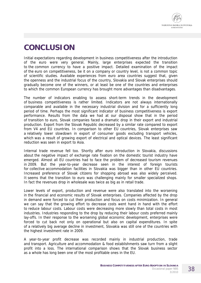

# **CONCLUSION**

Initial expectations regarding development in business competitiveness after the introduction of the euro were very general. Mainly, large enterprises expected the transition to the common currency to have a positive impact. Detailed examination of the impact of the euro on competitiveness, be it on a company or country level, is not a common topic of scientific studies. Available experiences from euro area countries suggest that, given the openness and the industrial focus of the country, Slovakia and Slovak enterprises should gradually become one of the winners, or at least be one of the countries and enterprises to which the common European currency has brought more advantages than disadvantages.

The number of indicators enabling to assess short-term trends in the development of business competitiveness is rather limited. Indicators are not always internationally comparable and available in the necessary industrial division and for a sufficiently long period of time. Perhaps the most significant indicator of business competitiveness is export performance. Results from the data we had at our disposal show that in the period of transition to euro, Slovak companies faced a dramatic drop in their export and industrial production. Export from the Slovak Republic decreased by a similar rate compared to export from V4 and EU countries. In comparison to other EU countries, Slovak enterprises saw a relatively lower slowdown in export of consumer goods excluding transport vehicles, which was a result of growing export of electrical and optical devices. The least significant reduction was seen in export to Asia.

Internal trade revenue fell too. Shortly after euro introduction in Slovakia, discussions about the negative impact of exchange rate fixation on the domestic tourist industry have emerged. Almost all EU countries had to face the problem of decreased tourism revenues in 2009. But the year-to-year decrease seen in the interest of foreign tourists for collective accommodation facilities in Slovakia was bigger than in other EU countries. Increased preference of Slovak citizens for shopping abroad was also widely perceived. It seems that the transition to euro was challenging mainly for smaller specialized shops. In fact the revenues drop in wholesale was twice as big as in retail trade.

Lower levels of export, production and revenue were also translated into the worsening in the financial and economic results of Slovak enterprises. Companies affected by the drop in demand were forced to cut their production and focus on costs minimization. In general we can say that the growing effort to decrease costs went hand in hand with the effort to reduce labour costs. Labour costs were decreasing more slowly than total costs in most industries. Industries responding to the drop by reducing their labour costs preferred mainly lay-offs. In their response to the worsening global economic development, enterprises were forced to cut back not only on operational but also on capital expenditures. In spite of a relatively big average decline in investment, Slovakia was still one of the countries with the highest investment rate in 2009.

A year-to-year profit decrease was recorded mainly in industrial production, trade and transport. Agriculture and accommodation & food establishments saw turn from a slight profit into a loss. The international comparison shows that the Slovak business sector as a whole has long been one of the most profitable ones in the EU.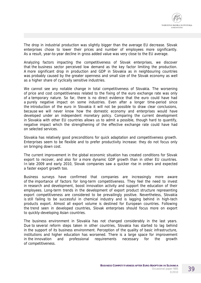The drop in industrial production was slightly bigger than the average EU decrease. Slovak enterprises chose to lower their prices and number of employees more significantly. As a result, year-to-year decline in gross added value was very close to the EU average.

Analyzing factors impacting the competitiveness of Slovak enterprises, we discover that the business sector perceived low demand as the key factor limiting the production. A more significant drop in production and GDP in Slovakia as in neighbouring countries was probably caused by the greater openness and small size of the Slovak economy as well as a higher share of cyclically sensitive industries.

We cannot see any notable change in total competitiveness of Slovakia. The worsening of price and cost competitiveness related to the fixing of the euro exchange rate was only of a temporary nature. So far, there is no direct evidence that the euro could have had a purely negative impact on some industries. Even after a longer time-period since the introduction of the euro in Slovakia it will not be possible to draw clear conclusions, because we will never know how the domestic economy and enterprises would have developed under an independent monetary policy. Comparing the current development in Slovakia with other EU countries allows us to admit a possible, though hard to quantify, negative impact which the strengthening of the effective exchange rate could have had on selected services.

Slovakia has relatively good preconditions for quick adaptation and competitiveness growth. Enterprises seem to be flexible and to prefer productivity increase: they do not focus only on bringing down cost.

The current improvement in the global economic situation has created conditions for Slovak export to recover, and also for a more dynamic GDP growth than in other EU countries. In late 2009 and early 2010, Slovak companies saw a quicker rise in orders and expected a faster export growth too.

Business surveys have confirmed that companies are increasingly more aware of the importance of factors for long-term competitiveness. They feel the need to invest in research and development, boost innovation activity and support the education of their employees. Long-term trends in the development of export product structure representing export competitiveness are considered to be prevailingly positive. Nevertheless, Slovakia is still failing to be successful in chemical industry and is lagging behind in high-tech products export. Almost all export volume is destined for European countries. Following the trend seen in developed countries, Slovak enterprises should focus more on export to quickly-developing Asian countries.

The business environment in Slovakia has not changed considerably in the last years. Due to several reform steps taken in other countries, Slovakia has started to lag behind in the support of its business environment. Perception of the quality of basic infrastructure, institutions and higher education has worsened. There is a large space for improvement in the innovation and professional requirements necessary for the growth of competitiveness.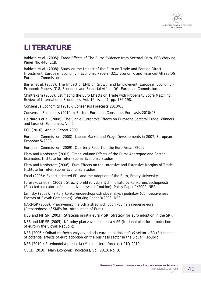

# **LITERATURE**

Baldwin et al. (2005): Trade Effects of The Euro: Evidence from Sectoral Data, ECB Working Paper No. 446, ECB.

Baldwin et al. (2008): Study on the Impact of the Euro on Trade and Foreign Direct Investment, European Economy – Economic Papers, 321, Economic and Financial Affairs DG, European Commission.

Barrell et al. (2008): The Impact of EMU on Growth and Employment, European Economy – Economic Papers, 318, Economic and Financial Affairs DG, European Commission.

Chintrakarn (2008): Estimating the Euro Effects on Trade with Propensity Score Matching. Review of International Economics, Vol. 16, Issue 1, pp. 186-198.

Consensus Economics (2010): Consensus Forecasts 2010/03.

Consensus Economics (2010a): Eastern European Consensus Forecasts 2010/03.

De Nardis et al. (2008): The Single Currency's Effects on Eurozone Sectoral Trade: Winners and Losers?, Economics, Vol.2.

ECB (2010): Annual Report 2009.

European Commission (2008): Labour Market and Wage Developments in 2007, European Economy 5/2008.

European Commission (2009): Quarterly Report on the Euro Area, I/2009.

Flam and Nordstrom (2003): Trade Volume Effects of the Euro: Aggregate and Sector Estimates, Institute for International Economic Studies.

Flam and Nordstrom (2006): Euro Effects on the Intensive and Extensive Margins of Trade, Institute for International Economic Studies.

Foad (2006): Export-oriented FDI and the Adoption of the Euro, Emory University.

Jurášeková et al. (2009): Stručný prehľad vybraných indikátorov konkurencieschopnosti (Selected indicators of competitiveness: brief outline), Policy Paper 1/2009, NBS.

Lalinský (2008): Faktory konkurencieschopnosti slovenských podnikov (Competitiveness Factors of Slovak Companies), Working Paper 3/2008, NBS.

NARMSP (2008): Pripravenosť malých a stredných podnikov na zavedenie eura (Preparedness of SMEs for Introduction of Euro).

NBS and MF SR (2003): Stratégia prijatia eura v SR (Strategy for euro adoption in the SR).

NBS and MF SR (2005): Národný plán zavedenia eura v SR (National plan for introduction of euro in the Slovak Republic).

NBS (2006): Odhad možných vplyvov prijatia eura na podnikateľský sektor v SR (Estimation of potential effects of euro adoption on the business sector in the Slovak Republic).

NBS (2010): Strednodobá predikcia (Medium-term forecast) P1Q-2010.

OECD (2010): Main Economic Indicators, Vol. 2010, No. 3.